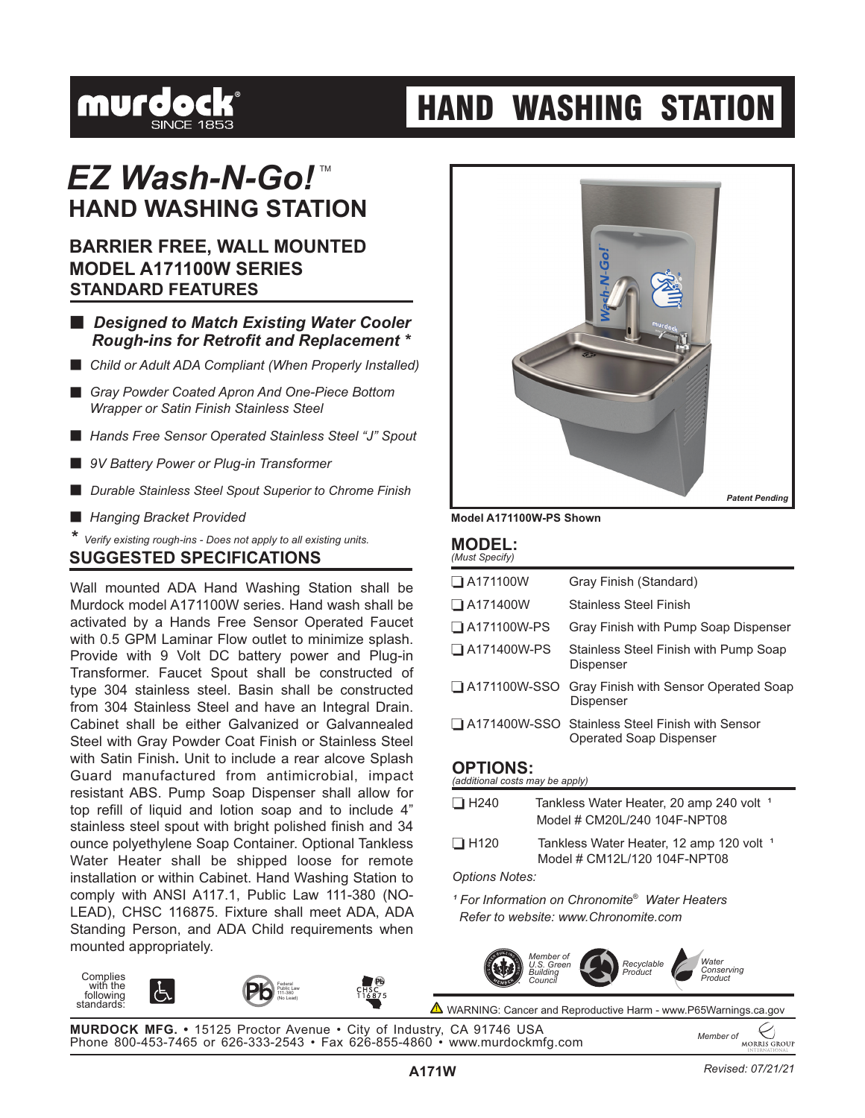

# **HAND WASHING STATION**

### **HAND WASHING STATION** *EZ Wash-N-Go!*™

### **STANDARD FEATURES BARRIER FREE, WALL MOUNTED MODEL A171100W SERIES**

- **E** Designed to Match Existing Water Cooler *Rough-ins for Retrofit and Replacement \**
- **E** Child or Adult ADA Compliant (When Properly Installed)
- **E** Gray Powder Coated Apron And One-Piece Bottom *Wrapper or Satin Finish Stainless Steel*
- **E** Hands Free Sensor Operated Stainless Steel "J" Spout
- **9V Battery Power or Plug-in Transformer**
- **E** Durable Stainless Steel Spout Superior to Chrome Finish
- **E** Hanging Bracket Provided

**Complies** with the following standards:

*\* Verify existing rough-ins - Does not apply to all existing units.*

#### **SUGGESTED SPECIFICATIONS**

Wall mounted ADA Hand Washing Station shall be Murdock model A171100W series. Hand wash shall be Cabinet shall be either Galvanized or Galvannealed Steel with Gray Powder Coat Finish or Stainless Steel with Satin Finish **.** Unit to include a rear alcove Splash activated by a Hands Free Sensor Operated Faucet with 0.5 GPM Laminar Flow outlet to minimize splash. Provide with 9 Volt DC battery power and Plug-in Transformer. Faucet Spout shall be constructed of type 304 stainless steel. Basin shall be constructed from 304 Stainless Steel and have an Integral Drain. Guard manufactured from antimicrobial, impact resistant ABS. Pump Soap Dispenser shall allow for top refill of liquid and lotion soap and to include 4" stainless steel spout with bright polished finish and 34 ounce polyethylene Soap Container. Optional Tankless Water Heater shall be shipped loose for remote installation or within Cabinet. Hand Washing Station to comply with ANSI A117.1, Public Law 111-380 (NO-LEAD), CHSC 116875. Fixture shall meet ADA, ADA Standing Person, and ADA Child requirements when mounted appropriately.



**Model A171100W-PS Shown**

#### **MODEL:** *(Must Specify)*

| $\Box$ A171100W    | Gray Finish (Standard)                                                              |
|--------------------|-------------------------------------------------------------------------------------|
| $\Box$ A171400W    | <b>Stainless Steel Finish</b>                                                       |
| $\Box$ A171100W-PS | Gray Finish with Pump Soap Dispenser                                                |
| $\Box$ A171400W-PS | Stainless Steel Finish with Pump Soap<br>Dispenser                                  |
|                    | A171100W-SSO Gray Finish with Sensor Operated Soap<br><b>Dispenser</b>              |
|                    | □ A171400W-SSO Stainless Steel Finish with Sensor<br><b>Operated Soap Dispenser</b> |
| <b>OPTIONS:</b>    |                                                                                     |

*(additional costs may be apply)*

| $\Box$ H240                                                           | Tankless Water Heater, 20 amp 240 volt <sup>1</sup><br>Model # CM20L/240 104F-NPT08 |  |  |  |
|-----------------------------------------------------------------------|-------------------------------------------------------------------------------------|--|--|--|
| $\Box$ H120                                                           | Tankless Water Heater, 12 amp 120 volt <sup>1</sup><br>Model # CM12L/120 104F-NPT08 |  |  |  |
| <b>Options Notes:</b>                                                 |                                                                                     |  |  |  |
| <sup>1</sup> For Information on Chronomite <sup>®</sup> Water Heaters |                                                                                     |  |  |  |

*Refer to website: www.Chronomite.com*



▲ WARNING: Cancer and Reproductive Harm - www.P65Warnings.ca.gov

**MURDOCK MFG. •** 15125 Proctor Avenue • City of Industry, CA 91746 USA Phone 800-453-7465 or 626-333-2543 • Fax 626-855-4860 • www.murdockmfg.com *Member of*

Federal Public Law 111-380 (No Lead)

**MORRIS GROUP**